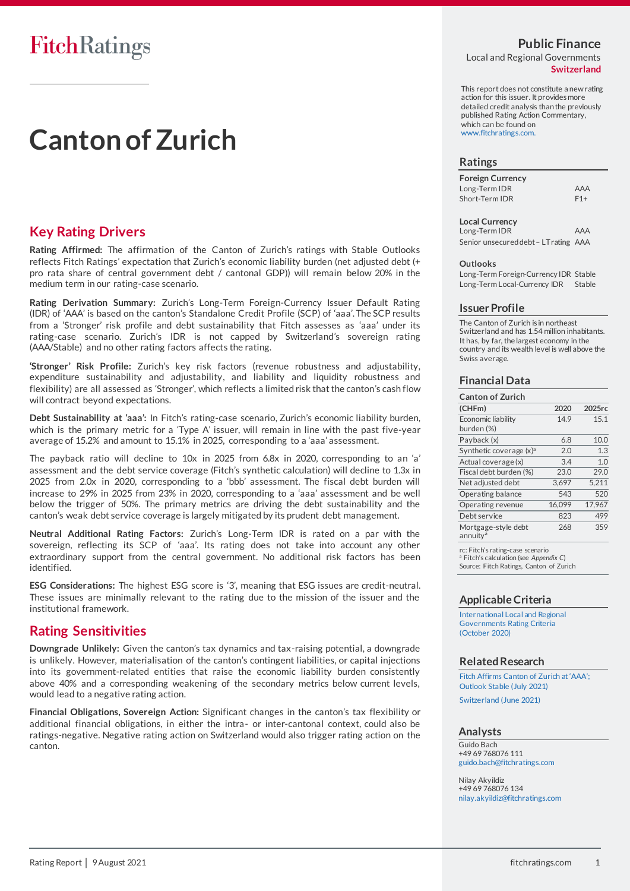# **Canton of Zurich**

## **Key Rating Drivers**

**Rating Affirmed:** The affirmation of the Canton of Zurich's ratings with Stable Outlooks reflects Fitch Ratings' expectation that Zurich's economic liability burden (net adjusted debt (+ pro rata share of central government debt / cantonal GDP)) will remain below 20% in the medium term in our rating-case scenario.

**Rating Derivation Summary:** Zurich's Long-Term Foreign-Currency Issuer Default Rating (IDR) of 'AAA' is based on the canton's Standalone Credit Profile (SCP) of 'aaa'. The SCP results from a 'Stronger' risk profile and debt sustainability that Fitch assesses as 'aaa' under its rating-case scenario. Zurich's IDR is not capped by Switzerland's sovereign rating (AAA/Stable) and no other rating factors affects the rating.

**'Stronger' Risk Profile:** Zurich's key risk factors (revenue robustness and adjustability, expenditure sustainability and adjustability, and liability and liquidity robustness and flexibility) are all assessed as 'Stronger', which reflects a limited risk that the canton's cash flow will contract beyond expectations.

**Debt Sustainability at 'aaa':** In Fitch's rating-case scenario, Zurich's economic liability burden, which is the primary metric for a 'Type A' issuer, will remain in line with the past five-year average of 15.2% and amount to 15.1% in 2025, corresponding to a 'aaa' assessment.

The payback ratio will decline to 10x in 2025 from 6.8x in 2020, corresponding to an 'a' assessment and the debt service coverage (Fitch's synthetic calculation) will decline to 1.3x in 2025 from 2.0x in 2020, corresponding to a 'bbb' assessment. The fiscal debt burden will increase to 29% in 2025 from 23% in 2020, corresponding to a 'aaa' assessment and be well below the trigger of 50%. The primary metrics are driving the debt sustainability and the canton's weak debt service coverage is largely mitigated by its prudent debt management.

**Neutral Additional Rating Factors:** Zurich's Long-Term IDR is rated on a par with the sovereign, reflecting its SCP of 'aaa'. Its rating does not take into account any other extraordinary support from the central government. No additional risk factors has been identified.

**ESG Considerations:** The highest ESG score is '3', meaning that ESG issues are credit-neutral. These issues are minimally relevant to the rating due to the mission of the issuer and the institutional framework.

## **Rating Sensitivities**

**Downgrade Unlikely:** Given the canton's tax dynamics and tax-raising potential, a downgrade is unlikely. However, materialisation of the canton's contingent liabilities, or capital injections into its government-related entities that raise the economic liability burden consistently above 40% and a corresponding weakening of the secondary metrics below current levels, would lead to a negative rating action.

**Financial Obligations, Sovereign Action:** Significant changes in the canton's tax flexibility or additional financial obligations, in either the intra- or inter-cantonal context, could also be ratings-negative. Negative rating action on Switzerland would also trigger rating action on the canton.

## **Public Finance**

Local and Regional Governments **Switzerland**

This report does not constitute a new rating action for this issuer. It provides more detailed credit analysis than the previously published Rating Action Commentary, .<br>which can be found [on](https://www.fitchratings.com/) [www.fitchratings.com.](https://www.fitchratings.com/)

#### **Ratings**

| <b>Foreign Currency</b> |            |
|-------------------------|------------|
| Long-Term IDR           | <b>AAA</b> |
| Short-Term IDR          | $F1+$      |

**Local Currency** Long-Term IDR AAA Senior unsecured debt – LT rating AAA

#### **Outlooks**

Long-Term Foreign-Currency IDR Stable Long-Term Local-Currency IDR Stable

#### **Issuer Profile**

The Canton of Zurich is in northeast Switzerland and has 1.54 million inhabitants. It has, by far, the largest economy in the country and its wealth level is well above the Swiss average.

#### **Financial Data**

| <b>Canton of Zurich</b>                     |        |        |
|---------------------------------------------|--------|--------|
| (CHFm)                                      | 2020   | 2025rc |
| Economic liability<br>burden (%)            | 14.9   | 15.1   |
| Payback (x)                                 | 6.8    | 10.0   |
| Synthetic coverage $(x)^a$                  | 2.0    | 1.3    |
| Actual coverage (x)                         | 3.4    | 1.0    |
| Fiscal debt burden (%)                      | 23.0   | 29.0   |
| Net adjusted debt                           | 3.697  | 5.211  |
| Operating balance                           | 543    | 520    |
| Operating revenue                           | 16,099 | 17.967 |
| Debt service                                | 823    | 499    |
| Mortgage-style debt<br>annuity <sup>a</sup> | 268    | 359    |

rc: Fitch's rating-case scenario <sup>a</sup> Fitch's calculation (see *Appendix C*) Source: Fitch Ratings, Canton of Zurich

#### **Applicable Criteria**

[International Local and Regional](https://www.fitchratings.com/research/international-public-finance/international-local-regional-governments-rating-criteria-27-10-2020)  [Governments Rating Criteria](https://www.fitchratings.com/research/international-public-finance/international-local-regional-governments-rating-criteria-27-10-2020)  [\(October 2020\)](https://www.fitchratings.com/research/international-public-finance/international-local-regional-governments-rating-criteria-27-10-2020)

#### **Related Research**

[Fitch Affirms Canton of Zurich at 'AAA';](https://www.fitchratings.com/research/international-public-finance/fitch-affirms-canton-of-zurich-at-aaa-outlook-stable-09-07-2021)  [Outlook Stable \(July 2021\)](https://www.fitchratings.com/research/international-public-finance/fitch-affirms-canton-of-zurich-at-aaa-outlook-stable-09-07-2021) [Switzerland \(June 2021\)](https://www.fitchratings.com/site/re/10165792)

#### **Analysts**

Guido Bach +49 69 768076 111 [guido.bach@fitchratings.com](mailto:guido.bach@fitchratings.com)

Nilay Akyildiz +49 69 768076 134 [nilay.akyildiz@fitchratings.com](mailto:nilay.akyildiz@fitchratings.com)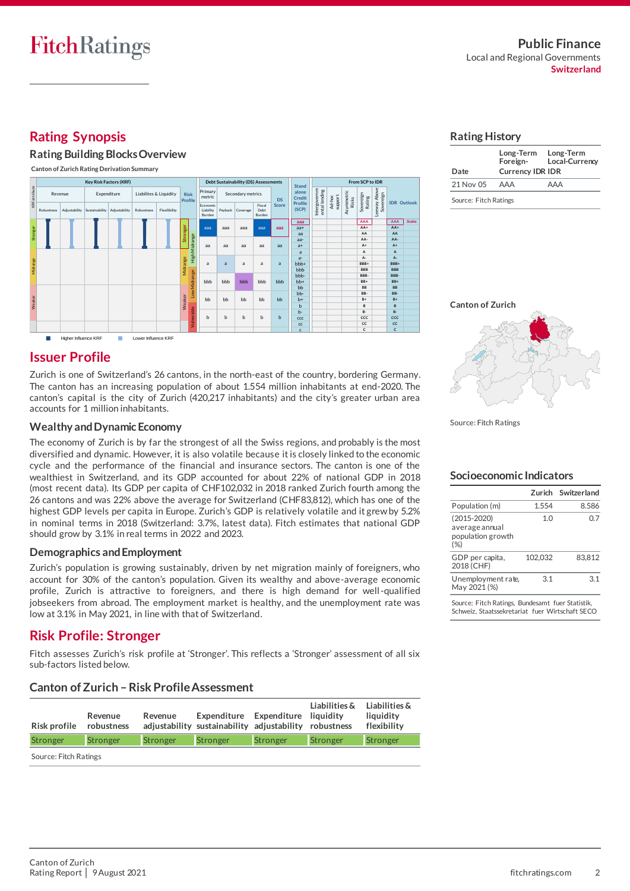# **Rating Synopsis**

#### **Rating Building Blocks Overview**

**Canton of Zurich Rating Derivation Summary**



#### **Rating History**

| Date                  | Long-Term<br>Foreign-<br><b>Currency IDR IDR</b> | Long-Term<br>Local-Currency |
|-----------------------|--------------------------------------------------|-----------------------------|
| 21 Nov 05             | AAA                                              | ΔΔΔ                         |
| Source: Fitch Ratings |                                                  |                             |

# **Issuer Profile**

Zurich is one of Switzerland's 26 cantons, in the north-east of the country, bordering Germany. The canton has an increasing population of about 1.554 million inhabitants at end-2020. The canton's capital is the city of Zurich (420,217 inhabitants) and the city's greater urban area accounts for 1 million inhabitants.

#### **Wealthy and Dynamic Economy**

The economy of Zurich is by far the strongest of all the Swiss regions, and probably is the most diversified and dynamic. However, it is also volatile because it is closely linked to the economic cycle and the performance of the financial and insurance sectors. The canton is one of the wealthiest in Switzerland, and its GDP accounted for about 22% of national GDP in 2018 (most recent data). Its GDP per capita of CHF102,032 in 2018 ranked Zurich fourth among the 26 cantons and was 22% above the average for Switzerland (CHF83,812), which has one of the highest GDP levels per capita in Europe. Zurich's GDP is relatively volatile and it grew by 5.2% in nominal terms in 2018 (Switzerland: 3.7%, latest data). Fitch estimates that national GDP should grow by 3.1% in real terms in 2022 and 2023.

#### **Demographics and Employment**

Zurich's population is growing sustainably, driven by net migration mainly of foreigners, who account for 30% of the canton's population. Given its wealthy and above-average economic profile, Zurich is attractive to foreigners, and there is high demand for well-qualified jobseekers from abroad. The employment market is healthy, and the unemployment rate was low at 3.1% in May 2021, in line with that of Switzerland.

## **Risk Profile: Stronger**

Fitch assesses Zurich's risk profile at 'Stronger'. This reflects a 'Stronger' assessment of all six sub-factors listed below.

### **Canton of Zurich –Risk Profile Assessment**

| Risk profile          | Revenue<br>robustness | Revenue  | Expenditure Expenditure liquidity<br>adjustability sustainability adjustability robustness |          | Liabilities & | Liabilities &<br>liauidity<br>flexibility |
|-----------------------|-----------------------|----------|--------------------------------------------------------------------------------------------|----------|---------------|-------------------------------------------|
| Stronger              | Stronger              | Stronger | Stronger                                                                                   | Stronger | Stronger      | Stronger                                  |
| Source: Fitch Ratings |                       |          |                                                                                            |          |               |                                           |

Source: Fitch Ratings

**Canton of Zurich**

#### **Socioeconomic Indicators**

|                                                           |         | Zurich Switzerland |
|-----------------------------------------------------------|---------|--------------------|
| Population (m)                                            | 1.554   | 8.586              |
| (2015-2020)<br>average annual<br>population growth<br>(%) | 1.0     | 0.7                |
| GDP per capita,<br>2018 (CHF)                             | 102,032 | 83.812             |
| Unemployment rate,<br>May 2021 (%)                        | 3.1     | 3.1                |

Source: Fitch Ratings, Bundesamt fuer Statistik, Schweiz, Staatssekretariat fuer Wirtschaft SECO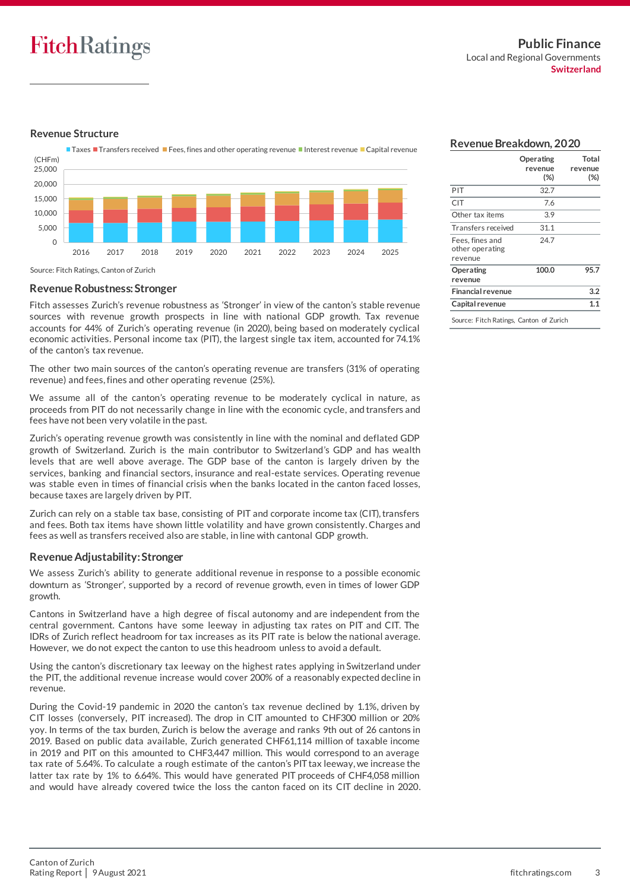#### **Revenue Structure**

Taxes Transfers received Fees, fines and other operating revenue Interest revenue Capital revenue



Source: Fitch Ratings, Canton of Zurich

#### **Revenue Robustness: Stronger**

Fitch assesses Zurich's revenue robustness as 'Stronger' in view of the canton's stable revenue sources with revenue growth prospects in line with national GDP growth. Tax revenue accounts for 44% of Zurich's operating revenue (in 2020), being based on moderately cyclical economic activities. Personal income tax (PIT), the largest single tax item, accounted for 74.1% of the canton's tax revenue.

The other two main sources of the canton's operating revenue are transfers (31% of operating revenue) and fees, fines and other operating revenue (25%).

We assume all of the canton's operating revenue to be moderately cyclical in nature, as proceeds from PIT do not necessarily change in line with the economic cycle, and transfers and fees have not been very volatile in the past.

Zurich's operating revenue growth was consistently in line with the nominal and deflated GDP growth of Switzerland. Zurich is the main contributor to Switzerland's GDP and has wealth levels that are well above average. The GDP base of the canton is largely driven by the services, banking and financial sectors, insurance and real-estate services. Operating revenue was stable even in times of financial crisis when the banks located in the canton faced losses, because taxes are largely driven by PIT.

Zurich can rely on a stable tax base, consisting of PIT and corporate income tax (CIT), transfers and fees. Both tax items have shown little volatility and have grown consistently. Charges and fees as well as transfers received also are stable, in line with cantonal GDP growth.

#### **Revenue Adjustability: Stronger**

We assess Zurich's ability to generate additional revenue in response to a possible economic downturn as 'Stronger', supported by a record of revenue growth, even in times of lower GDP growth.

Cantons in Switzerland have a high degree of fiscal autonomy and are independent from the central government. Cantons have some leeway in adjusting tax rates on PIT and CIT. The IDRs of Zurich reflect headroom for tax increases as its PIT rate is below the national average. However, we do not expect the canton to use this headroom unless to avoid a default.

Using the canton's discretionary tax leeway on the highest rates applying in Switzerland under the PIT, the additional revenue increase would cover 200% of a reasonably expected decline in revenue.

During the Covid-19 pandemic in 2020 the canton's tax revenue declined by 1.1%, driven by CIT losses (conversely, PIT increased). The drop in CIT amounted to CHF300 million or 20% yoy. In terms of the tax burden, Zurich is below the average and ranks 9th out of 26 cantons in 2019. Based on public data available, Zurich generated CHF61,114 million of taxable income in 2019 and PIT on this amounted to CHF3,447 million. This would correspond to an average tax rate of 5.64%. To calculate a rough estimate of the canton's PIT tax leeway, we increase the latter tax rate by 1% to 6.64%. This would have generated PIT proceeds of CHF4,058 million and would have already covered twice the loss the canton faced on its CIT decline in 2020.

| Revenue Breakdown, 2020 |  |  |
|-------------------------|--|--|
|-------------------------|--|--|

|                                               | Operating<br>revenue<br>(%) | Total<br>revenue<br>$(\%)$ |
|-----------------------------------------------|-----------------------------|----------------------------|
| PIT                                           | 32.7                        |                            |
| CIT                                           | 7.6                         |                            |
| Other tax items                               | 3.9                         |                            |
| Transfers received                            | 31.1                        |                            |
| Fees, fines and<br>other operating<br>revenue | 24.7                        |                            |
| Operating<br>revenue                          | 100.0                       | 95.7                       |
| <b>Financial revenue</b>                      |                             | 3.2                        |
| Capital revenue                               |                             | 11                         |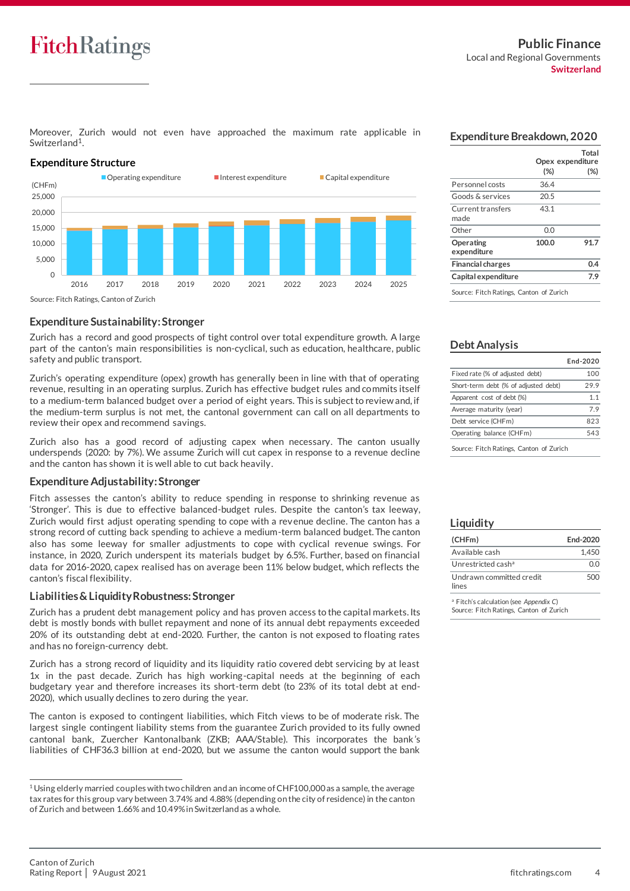Moreover, Zurich would not even have approached the maximum rate applicable in Switzerland<sup>1</sup>.

#### **Expenditure Structure**



Source: Fitch Ratings, Canton of Zurich

#### **Expenditure Sustainability: Stronger**

Zurich has a record and good prospects of tight control over total expenditure growth. A large part of the canton's main responsibilities is non-cyclical, such as education, healthcare, public safety and public transport.

Zurich's operating expenditure (opex) growth has generally been in line with that of operating revenue, resulting in an operating surplus. Zurich has effective budget rules and commits itself to a medium-term balanced budget over a period of eight years. This is subject to review and, if the medium-term surplus is not met, the cantonal government can call on all departments to review their opex and recommend savings.

Zurich also has a good record of adjusting capex when necessary. The canton usually underspends (2020: by 7%). We assume Zurich will cut capex in response to a revenue decline and the canton has shown it is well able to cut back heavily.

#### **Expenditure Adjustability: Stronger**

Fitch assesses the canton's ability to reduce spending in response to shrinking revenue as 'Stronger'. This is due to effective balanced-budget rules. Despite the canton's tax leeway, Zurich would first adjust operating spending to cope with a revenue decline. The canton has a strong record of cutting back spending to achieve a medium-term balanced budget. The canton also has some leeway for smaller adjustments to cope with cyclical revenue swings. For instance, in 2020, Zurich underspent its materials budget by 6.5%. Further, based on financial data for 2016-2020, capex realised has on average been 11% below budget, which reflects the canton's fiscal flexibility.

#### **Liabilities & Liquidity Robustness: Stronger**

Zurich has a prudent debt management policy and has proven access to the capital markets. Its debt is mostly bonds with bullet repayment and none of its annual debt repayments exceeded 20% of its outstanding debt at end-2020. Further, the canton is not exposed to floating rates and has no foreign-currency debt.

Zurich has a strong record of liquidity and its liquidity ratio covered debt servicing by at least 1x in the past decade. Zurich has high working-capital needs at the beginning of each budgetary year and therefore increases its short-term debt (to 23% of its total debt at end-2020), which usually declines to zero during the year.

The canton is exposed to contingent liabilities, which Fitch views to be of moderate risk. The largest single contingent liability stems from the guarantee Zurich provided to its fully owned cantonal bank, Zuercher Kantonalbank (ZKB; AAA/Stable). This incorporates the bank's liabilities of CHF36.3 billion at end-2020, but we assume the canton would support the bank

#### **Expenditure Breakdown, 2020**

|                                         |       | Total<br>Opex expenditure |
|-----------------------------------------|-------|---------------------------|
|                                         | (%)   | $(\%)$                    |
| Personnel costs                         | 36.4  |                           |
| Goods & services                        | 20.5  |                           |
| Current transfers<br>made               | 43.1  |                           |
| Other                                   | 0.0   |                           |
| Operating<br>expenditure                | 100.0 | 91.7                      |
| <b>Financial charges</b>                |       | 0.4                       |
| Capital expenditure                     |       | 7.9                       |
| Source: Fitch Ratings, Canton of Zurich |       |                           |

#### **Debt Analysis**

|                                      | End-2020 |
|--------------------------------------|----------|
| Fixed rate (% of adjusted debt)      | 100      |
| Short-term debt (% of adjusted debt) | 299      |
| Apparent cost of debt (%)            | 11       |
| Average maturity (year)              | 79       |
| Debt service (CHFm)                  | 823      |
| Operating balance (CHFm)             | 543      |
|                                      |          |

Source: Fitch Ratings, Canton of Zurich

#### **Liquidity**

| (CHFm)                            | Fnd-2020 |
|-----------------------------------|----------|
| Available cash                    | 1.450    |
| Unrestricted cash <sup>a</sup>    | ററ       |
| Undrawn committed credit<br>lines | 500      |

<sup>a</sup> Fitch's calculation (see *Appendix C*) Source: Fitch Ratings, Canton of Zurich

.

 $1$  Using elderly married couples with two children and an income of CHF100,000 as a sample, the average tax rates for this group vary between 3.74% and 4.88% (depending on the city of residence) in the canton of Zurich and between 1.66% and 10.49% in Switzerland as a whole.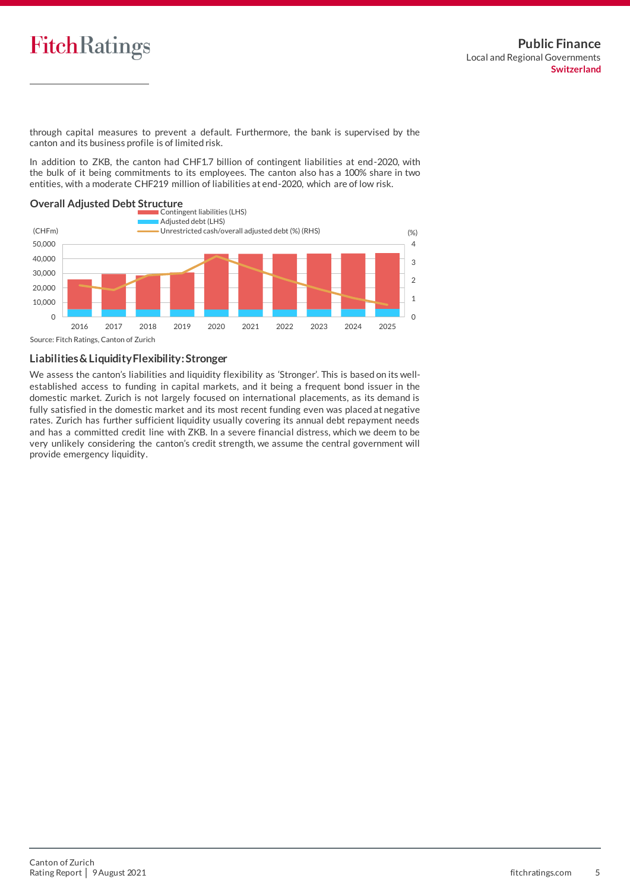through capital measures to prevent a default. Furthermore, the bank is supervised by the canton and its business profile is of limited risk.

In addition to ZKB, the canton had CHF1.7 billion of contingent liabilities at end-2020, with the bulk of it being commitments to its employees. The canton also has a 100% share in two entities, with a moderate CHF219 million of liabilities at end-2020, which are of low risk.





Source: Fitch Ratings, Canton of Zurich

#### **Liabilities & Liquidity Flexibility:Stronger**

We assess the canton's liabilities and liquidity flexibility as 'Stronger'. This is based on its wellestablished access to funding in capital markets, and it being a frequent bond issuer in the domestic market. Zurich is not largely focused on international placements, as its demand is fully satisfied in the domestic market and its most recent funding even was placed at negative rates. Zurich has further sufficient liquidity usually covering its annual debt repayment needs and has a committed credit line with ZKB. In a severe financial distress, which we deem to be very unlikely considering the canton's credit strength, we assume the central government will provide emergency liquidity.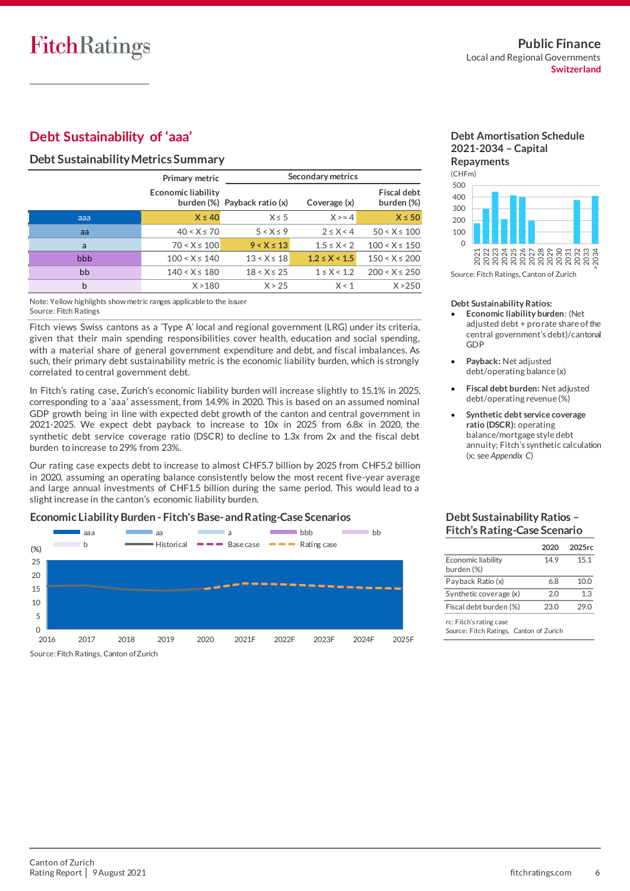# **Debt Sustainability of 'aaa'**

#### **Debt Sustainability Metrics Summary**

|     | Primary metric            |                              | Secondary metrics |                                  |
|-----|---------------------------|------------------------------|-------------------|----------------------------------|
|     | <b>Economic liability</b> | burden (%) Payback ratio (x) | Coverage (x)      | <b>Fiscal debt</b><br>burden (%) |
| aaa | $X \leq 40$               | $X \leq 5$                   | X > 4             | $X \leq 50$                      |
| aa. | $40 < X \le 70$           | $5 < X \le 9$                | $2 \leq X < 4$    | $50 < X \le 100$                 |
| a   | $70 < X \le 100$          | $9 < X \le 13$               | $1.5 \le X < 2$   | $100 < X \le 150$                |
| bbb | $100 < X \le 140$         | $13 < X \le 18$              | $1.2 \le X < 1.5$ | $150 < X \le 200$                |
| bb  | $140 < X \le 180$         | $18 < X \le 25$              | $1 \le X < 1.2$   | $200 < X \le 250$                |
| b   | X > 180                   | X > 25                       | X < 1             | X > 250                          |

Note: Yellow highlights show metric ranges applicable to the issuer Source: Fitch Ratings

Fitch views Swiss cantons as a 'Type A' local and regional government (LRG) under its criteria, given that their main spending responsibilities cover health, education and social spending, with a material share of general government expenditure and debt, and fiscal imbalances. As such, their primary debt sustainability metric is the economic liability burden, which is strongly correlated to central government debt.

In Fitch's rating case, Zurich's economic liability burden will increase slightly to 15.1% in 2025, corresponding to a 'aaa' assessment, from 14.9% in 2020. This is based on an assumed nominal GDP growth being in line with expected debt growth of the canton and central government in 2021-2025. We expect debt payback to increase to 10x in 2025 from 6.8x in 2020, the synthetic debt service coverage ratio (DSCR) to decline to 1.3x from 2x and the fiscal debt burden to increase to 29% from 23%.

Our rating case expects debt to increase to almost CHF5.7 billion by 2025 from CHF5.2 billion in 2020, assuming an operating balance consistently below the most recent five-year average and large annual investments of CHF1.5 billion during the same period. This would lead to a slight increase in the canton's economic liability burden.

#### **Economic Liability Burden - Fitch's Base-and Rating-Case Scenarios**





2025 Source: Fitch Ratings, Canton of Zurich

2026 2027 2028 2029 2030 2031 2032 2033 >2034

#### **Debt Sustainability Ratios:**

2021 2022 2023 2024

- **Economic liability burden**: (Net adjusted debt + pro rate share of the central government's debt)/cantonal GDP
- Payback: Net adjusted debt/operating balance (x)
- **Fiscal debt burden:** Net adjusted debt/operating revenue (%)
- **Synthetic debt service coverage ratio (DSCR):** operating balance/mortgage style debt annuity; Fitch's synthetic calculation (x; see *Appendix C*)

#### **Debt Sustainability Ratios – Fitch's Rating-Case Scenario**

|                                  | 2020 | 2025rc |
|----------------------------------|------|--------|
| Economic liability<br>burden (%) | 14.9 | 15.1   |
| Payback Ratio (x)                | 6.8  | 10.0   |
| Synthetic coverage $(x)$         | 2.0  | 1.3    |
| Fiscal debt burden (%)           | 23.0 | 29.O   |

rc: Fitch's rating case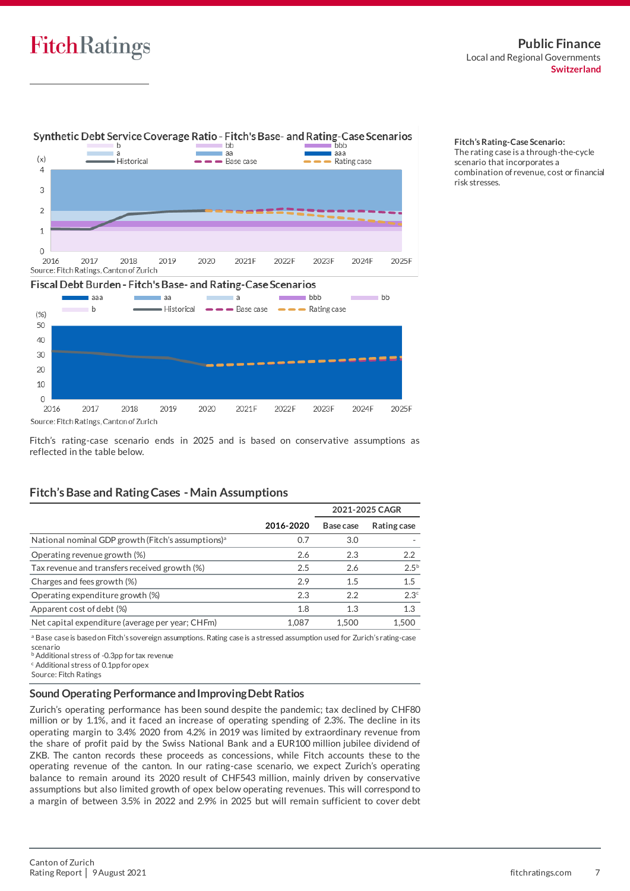

#### Synthetic Debt Service Coverage Ratio - Fitch's Base- and Rating-Case Scenarios

**Fitch's Rating-Case Scenario:** The rating case is a through-the-cycle scenario that incorporates a combination of revenue, cost or financial risk stresses.





Fitch's rating-case scenario ends in 2025 and is based on conservative assumptions as reflected in the table below.

#### **Fitch's Base and Rating Cases -Main Assumptions**

|                                                                |           | 2021-2025 CAGR |                  |  |
|----------------------------------------------------------------|-----------|----------------|------------------|--|
|                                                                | 2016-2020 | Base case      | Rating case      |  |
| National nominal GDP growth (Fitch's assumptions) <sup>a</sup> | 0.7       | 3.0            |                  |  |
| Operating revenue growth (%)                                   | 2.6       | 2.3            | $2.2^{\circ}$    |  |
| Tax revenue and transfers received growth (%)                  | 2.5       | 2.6            | $2.5^{b}$        |  |
| Charges and fees growth (%)                                    | 2.9       | 1.5            | 1.5              |  |
| Operating expenditure growth (%)                               | 2.3       | 2.2            | 2.3 <sup>c</sup> |  |
| Apparent cost of debt (%)                                      | 1.8       | 1.3            | 1.3              |  |
| Net capital expenditure (average per year; CHFm)               | 1.087     | 1.500          | 1.500            |  |

a Base case is based on Fitch's sovereign assumptions. Rating case is a stressed assumption used for Zurich's rating-case scenario

**b** Additional stress of -0.3pp for tax revenue

<sup>c</sup> Additional stress of 0.1pp for opex Source: Fitch Ratings

#### **Sound Operating Performance and Improving Debt Ratios**

Zurich's operating performance has been sound despite the pandemic; tax declined by CHF80 million or by 1.1%, and it faced an increase of operating spending of 2.3%. The decline in its operating margin to 3.4% 2020 from 4.2% in 2019 was limited by extraordinary revenue from the share of profit paid by the Swiss National Bank and a EUR100 million jubilee dividend of ZKB. The canton records these proceeds as concessions, while Fitch accounts these to the operating revenue of the canton. In our rating-case scenario, we expect Zurich's operating balance to remain around its 2020 result of CHF543 million, mainly driven by conservative assumptions but also limited growth of opex below operating revenues. This will correspond to a margin of between 3.5% in 2022 and 2.9% in 2025 but will remain sufficient to cover debt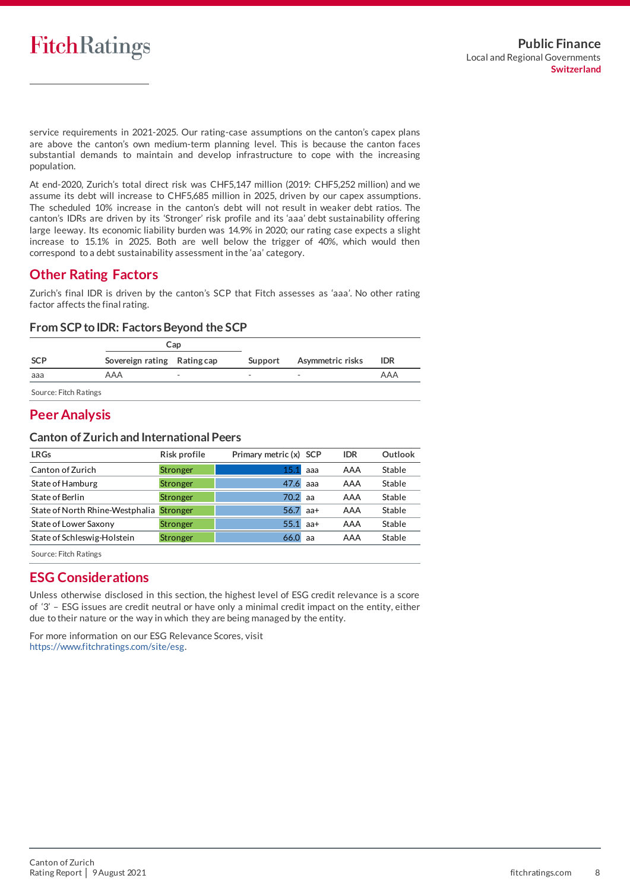service requirements in 2021-2025. Our rating-case assumptions on the canton's capex plans are above the canton's own medium-term planning level. This is because the canton faces substantial demands to maintain and develop infrastructure to cope with the increasing population.

At end-2020, Zurich's total direct risk was CHF5,147 million (2019: CHF5,252 million) and we assume its debt will increase to CHF5,685 million in 2025, driven by our capex assumptions. The scheduled 10% increase in the canton's debt will not result in weaker debt ratios. The canton's IDRs are driven by its 'Stronger' risk profile and its 'aaa' debt sustainability offering large leeway. Its economic liability burden was 14.9% in 2020; our rating case expects a slight increase to 15.1% in 2025. Both are well below the trigger of 40%, which would then correspond to a debt sustainability assessment in the 'aa' category.

## **Other Rating Factors**

Zurich's final IDR is driven by the canton's SCP that Fitch assesses as 'aaa'. No other rating factor affects the final rating.

### **From SCP to IDR: Factors Beyond the SCP**

|                       | Cap                         |                          |                          |                  |            |
|-----------------------|-----------------------------|--------------------------|--------------------------|------------------|------------|
| <b>SCP</b>            | Sovereign rating Rating cap |                          | Support                  | Asymmetric risks | <b>IDR</b> |
| aaa                   | AAA                         | $\overline{\phantom{0}}$ | $\overline{\phantom{a}}$ |                  | AAA        |
| Source: Fitch Ratings |                             |                          |                          |                  |            |

## **Peer Analysis**

#### **Canton of Zurich and International Peers**

| <b>LRGs</b>                     | Risk profile    | Primary metric (x) SCP |     | <b>IDR</b> | Outlook |
|---------------------------------|-----------------|------------------------|-----|------------|---------|
| Canton of Zurich                | <b>Stronger</b> | 15                     | aaa | AAA        | Stable  |
| State of Hamburg                | <b>Stronger</b> | 47.6                   | aaa | AAA        | Stable  |
| State of Berlin                 | <b>Stronger</b> | 70.2                   | aa  | AAA        | Stable  |
| State of North Rhine-Westphalia | <b>Stronger</b> | 56.7                   | aa+ | AAA        | Stable  |
| State of Lower Saxony           | <b>Stronger</b> | 55.1                   | aa+ | AAA        | Stable  |
| State of Schleswig-Holstein     | <b>Stronger</b> | 66.0                   | aa  | AAA        | Stable  |
|                                 |                 |                        |     |            |         |

Source: Fitch Ratings

## **ESG Considerations**

Unless otherwise disclosed in this section, the highest level of ESG credit relevance is a score of '3' – ESG issues are credit neutral or have only a minimal credit impact on the entity, either due to their nature or the way in which they are being managed by the entity.

For more information on our ESG Relevance Scores, visit [https://www.fitchratings.com/site/esg.](https://www.fitchratings.com/site/esg)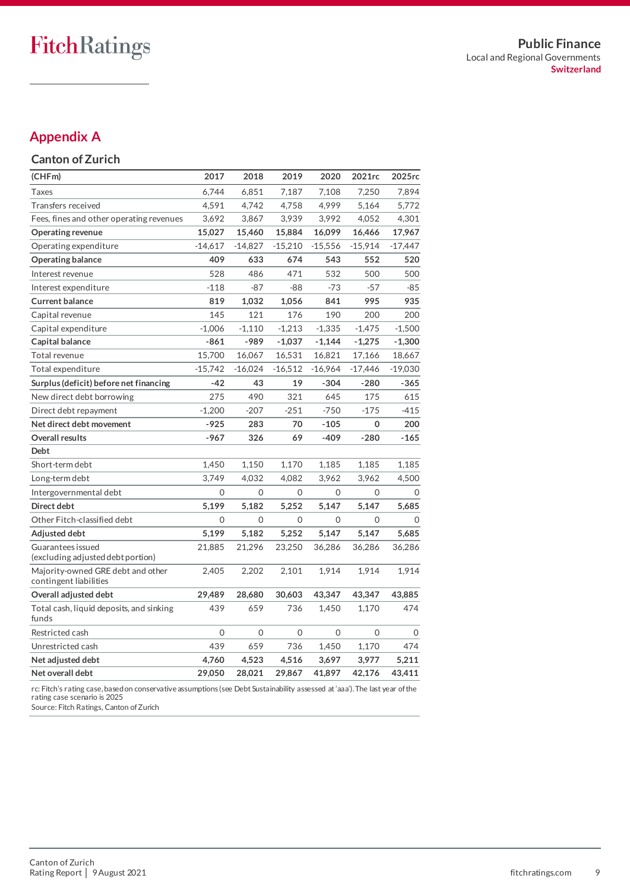# **Appendix A**

## **Canton of Zurich**

| (CHFm)                                                      | 2017      | 2018      | 2019        | 2020        | 2021rc    | 2025rc    |
|-------------------------------------------------------------|-----------|-----------|-------------|-------------|-----------|-----------|
| <b>Taxes</b>                                                | 6,744     | 6,851     | 7,187       | 7,108       | 7,250     | 7,894     |
| Transfers received                                          | 4,591     | 4,742     | 4,758       | 4,999       | 5,164     | 5,772     |
| Fees, fines and other operating revenues                    | 3,692     | 3,867     | 3,939       | 3,992       | 4,052     | 4,301     |
| <b>Operating revenue</b>                                    | 15,027    | 15,460    | 15,884      | 16,099      | 16,466    | 17,967    |
| Operating expenditure                                       | $-14,617$ | $-14,827$ | $-15,210$   | -15,556     | $-15,914$ | $-17,447$ |
| <b>Operating balance</b>                                    | 409       | 633       | 674         | 543         | 552       | 520       |
| Interest revenue                                            | 528       | 486       | 471         | 532         | 500       | 500       |
| Interest expenditure                                        | $-118$    | $-87$     | $-88$       | $-73$       | $-57$     | $-85$     |
| <b>Current balance</b>                                      | 819       | 1,032     | 1,056       | 841         | 995       | 935       |
| Capital revenue                                             | 145       | 121       | 176         | 190         | 200       | 200       |
| Capital expenditure                                         | $-1,006$  | $-1,110$  | $-1,213$    | $-1,335$    | $-1,475$  | $-1,500$  |
| Capital balance                                             | $-861$    | -989      | $-1,037$    | $-1,144$    | $-1,275$  | $-1,300$  |
| Total revenue                                               | 15,700    | 16,067    | 16,531      | 16,821      | 17,166    | 18,667    |
| Total expenditure                                           | $-15,742$ | $-16,024$ | $-16,512$   | $-16,964$   | $-17,446$ | $-19,030$ |
| Surplus (deficit) before net financing                      | $-42$     | 43        | 19          | $-304$      | $-280$    | $-365$    |
| New direct debt borrowing                                   | 275       | 490       | 321         | 645         | 175       | 615       |
| Direct debt repayment                                       | $-1,200$  | $-207$    | $-251$      | $-750$      | $-175$    | -415      |
| Net direct debt movement                                    | $-925$    | 283       | 70          | $-105$      | 0         | 200       |
| <b>Overall results</b>                                      | -967      | 326       | 69          | $-409$      | $-280$    | -165      |
| Debt                                                        |           |           |             |             |           |           |
| Short-term debt                                             | 1,450     | 1,150     | 1,170       | 1,185       | 1,185     | 1,185     |
| Long-term debt                                              | 3,749     | 4,032     | 4,082       | 3,962       | 3,962     | 4,500     |
| Intergovernmental debt                                      | 0         | 0         | 0           | $\Omega$    | 0         | 0         |
| Direct debt                                                 | 5,199     | 5,182     | 5,252       | 5,147       | 5,147     | 5,685     |
| Other Fitch-classified debt                                 | $\Omega$  | $\Omega$  | $\Omega$    | $\Omega$    | 0         | $\Omega$  |
| Adjusted debt                                               | 5,199     | 5,182     | 5,252       | 5,147       | 5,147     | 5,685     |
| Guarantees issued<br>(excluding adjusted debt portion)      | 21,885    | 21,296    | 23,250      | 36,286      | 36,286    | 36,286    |
| Majority-owned GRE debt and other<br>contingent liabilities | 2,405     | 2,202     | 2,101       | 1,914       | 1,914     | 1,914     |
| Overall adjusted debt                                       | 29,489    | 28,680    | 30,603      | 43,347      | 43,347    | 43,885    |
| Total cash, liquid deposits, and sinking<br>funds           | 439       | 659       | 736         | 1,450       | 1,170     | 474       |
| Restricted cash                                             | 0         | 0         | $\mathbf 0$ | $\mathbf 0$ | 0         | $\Omega$  |
| Unrestricted cash                                           | 439       | 659       | 736         | 1,450       | 1,170     | 474       |
| Net adjusted debt                                           | 4,760     | 4,523     | 4,516       | 3,697       | 3,977     | 5,211     |
| Net overall debt                                            | 29,050    | 28,021    | 29,867      | 41,897      | 42,176    | 43,411    |

rc: Fitch's rating case, based on conservative assumptions (see Debt Sustainability assessed at 'aaa'). The last year of the rating case scenario is 2025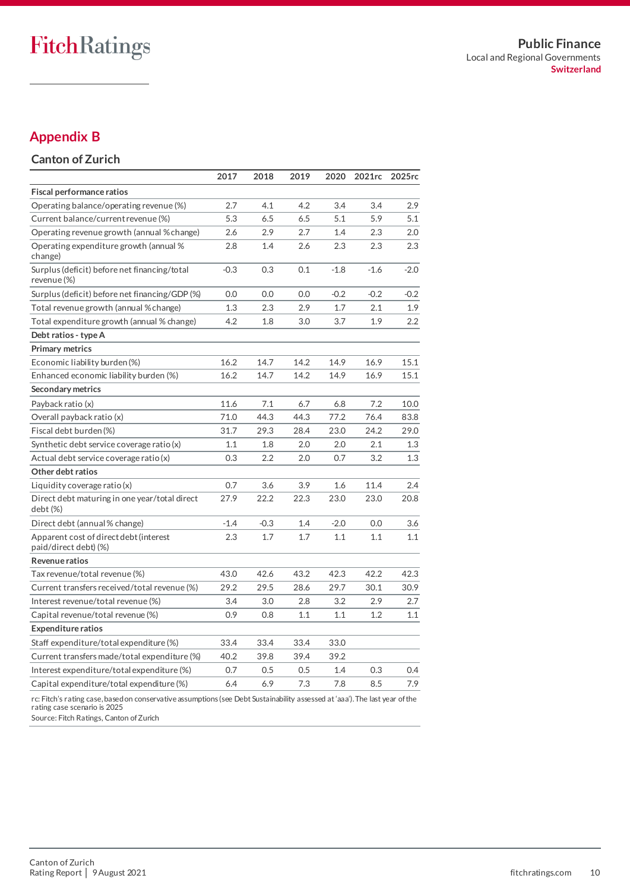# **Appendix B**

## **Canton of Zurich**

|                                                                 | 2017   | 2018   | 2019 | 2020   | 2021rc | 2025rc |
|-----------------------------------------------------------------|--------|--------|------|--------|--------|--------|
| <b>Fiscal performance ratios</b>                                |        |        |      |        |        |        |
| Operating balance/operating revenue (%)                         | 2.7    | 4.1    | 4.2  | 3.4    | 3.4    | 2.9    |
| Current balance/current revenue (%)                             | 5.3    | 6.5    | 6.5  | 5.1    | 5.9    | 5.1    |
| Operating revenue growth (annual % change)                      | 2.6    | 2.9    | 2.7  | 1.4    | 2.3    | 2.0    |
| Operating expenditure growth (annual %<br>change)               | 2.8    | 1.4    | 2.6  | 2.3    | 2.3    | 2.3    |
| Surplus (deficit) before net financing/total<br>revenue (%)     | $-0.3$ | 0.3    | 0.1  | $-1.8$ | $-1.6$ | $-2.0$ |
| Surplus (deficit) before net financing/GDP (%)                  | 0.0    | 0.0    | 0.0  | $-0.2$ | $-0.2$ | $-0.2$ |
| Total revenue growth (annual % change)                          | 1.3    | 2.3    | 2.9  | 1.7    | 2.1    | 1.9    |
| Total expenditure growth (annual % change)                      | 4.2    | 1.8    | 3.0  | 3.7    | 1.9    | 2.2    |
| Debt ratios - type A                                            |        |        |      |        |        |        |
| Primary metrics                                                 |        |        |      |        |        |        |
| Economic liability burden (%)                                   | 16.2   | 14.7   | 14.2 | 14.9   | 16.9   | 15.1   |
| Enhanced economic liability burden (%)                          | 16.2   | 14.7   | 14.2 | 14.9   | 16.9   | 15.1   |
| Secondary metrics                                               |        |        |      |        |        |        |
| Payback ratio (x)                                               | 11.6   | 7.1    | 6.7  | 6.8    | 7.2    | 10.0   |
| Overall payback ratio (x)                                       | 71.0   | 44.3   | 44.3 | 77.2   | 76.4   | 83.8   |
| Fiscal debt burden (%)                                          | 31.7   | 29.3   | 28.4 | 23.0   | 24.2   | 29.0   |
| Synthetic debt service coverage ratio(x)                        | 1.1    | 1.8    | 2.0  | 2.0    | 2.1    | 1.3    |
| Actual debt service coverage ratio(x)                           | 0.3    | 2.2    | 2.0  | 0.7    | 3.2    | 1.3    |
| Other debt ratios                                               |        |        |      |        |        |        |
| Liquidity coverage ratio $(x)$                                  | 0.7    | 3.6    | 3.9  | 1.6    | 11.4   | 2.4    |
| Direct debt maturing in one year/total direct<br>debt (%)       | 27.9   | 22.2   | 22.3 | 23.0   | 23.0   | 20.8   |
| Direct debt (annual % change)                                   | $-1.4$ | $-0.3$ | 1.4  | $-2.0$ | 0.0    | 3.6    |
| Apparent cost of direct debt (interest<br>paid/direct debt) (%) | 2.3    | 1.7    | 1.7  | 1.1    | 1.1    | 1.1    |
| Revenue ratios                                                  |        |        |      |        |        |        |
| Tax revenue/total revenue (%)                                   | 43.0   | 42.6   | 43.2 | 42.3   | 42.2   | 42.3   |
| Current transfers received/total revenue (%)                    | 29.2   | 29.5   | 28.6 | 29.7   | 30.1   | 30.9   |
| Interest revenue/total revenue (%)                              | 3.4    | 3.0    | 2.8  | 3.2    | 2.9    | 2.7    |
| Capital revenue/total revenue (%)                               | 0.9    | 0.8    | 1.1  | 1.1    | 1.2    | 1.1    |
| <b>Expenditure ratios</b>                                       |        |        |      |        |        |        |
| Staff expenditure/total expenditure (%)                         | 33.4   | 33.4   | 33.4 | 33.0   |        |        |
| Current transfers made/total expenditure (%)                    | 40.2   | 39.8   | 39.4 | 39.2   |        |        |
| Interest expenditure/total expenditure (%)                      | 0.7    | 0.5    | 0.5  | 1.4    | 0.3    | 0.4    |
| Capital expenditure/total expenditure (%)                       | 6.4    | 6.9    | 7.3  | 7.8    | 8.5    | 7.9    |

rc: Fitch's rating case, based on conservative assumptions (see Debt Sustainability assessed at'aaa'). The last year of the rating case scenario is 2025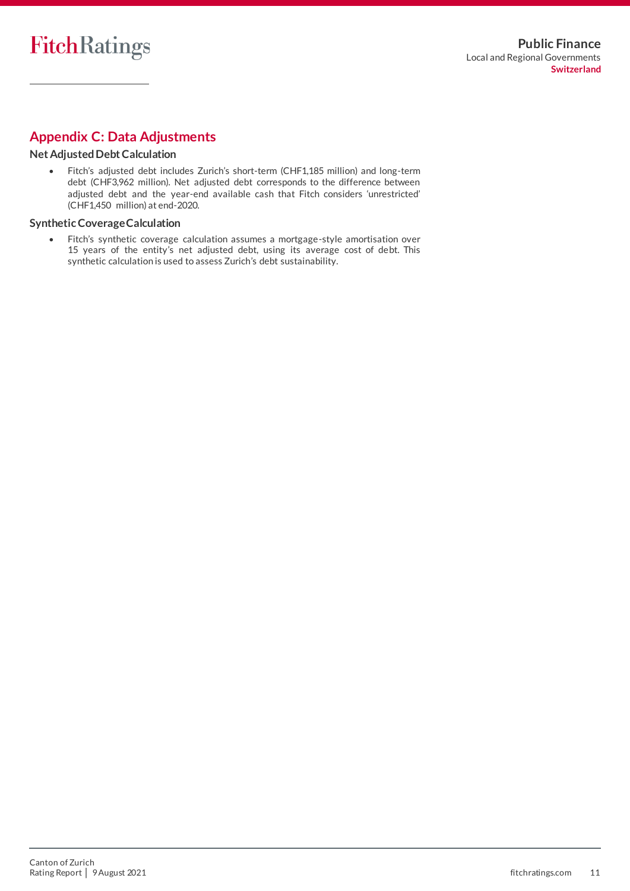# **Appendix C: Data Adjustments**

#### **Net Adjusted Debt Calculation**

• Fitch's adjusted debt includes Zurich's short-term (CHF1,185 million) and long-term debt (CHF3,962 million). Net adjusted debt corresponds to the difference between adjusted debt and the year-end available cash that Fitch considers 'unrestricted' (CHF1,450 million) at end-2020.

#### **Synthetic Coverage Calculation**

• Fitch's synthetic coverage calculation assumes a mortgage-style amortisation over 15 years of the entity's net adjusted debt, using its average cost of debt. This synthetic calculation is used to assess Zurich's debt sustainability.